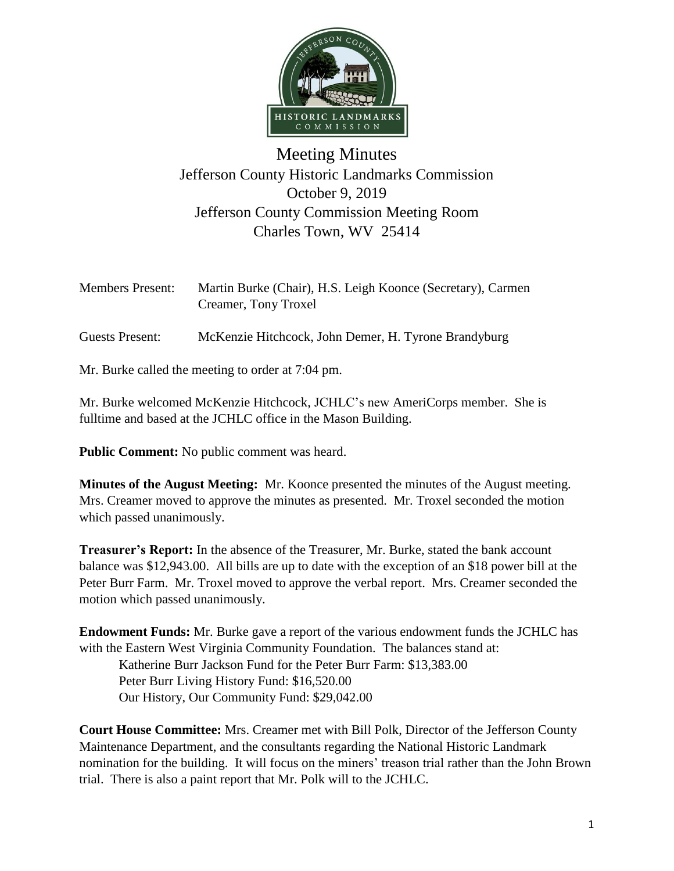

## Meeting Minutes Jefferson County Historic Landmarks Commission October 9, 2019 Jefferson County Commission Meeting Room Charles Town, WV 25414

| <b>Members Present:</b> | Martin Burke (Chair), H.S. Leigh Koonce (Secretary), Carmen |
|-------------------------|-------------------------------------------------------------|
|                         | Creamer, Tony Troxel                                        |
|                         |                                                             |

Guests Present: McKenzie Hitchcock, John Demer, H. Tyrone Brandyburg

Mr. Burke called the meeting to order at 7:04 pm.

Mr. Burke welcomed McKenzie Hitchcock, JCHLC's new AmeriCorps member. She is fulltime and based at the JCHLC office in the Mason Building.

**Public Comment:** No public comment was heard.

**Minutes of the August Meeting:** Mr. Koonce presented the minutes of the August meeting. Mrs. Creamer moved to approve the minutes as presented. Mr. Troxel seconded the motion which passed unanimously.

**Treasurer's Report:** In the absence of the Treasurer, Mr. Burke, stated the bank account balance was \$12,943.00. All bills are up to date with the exception of an \$18 power bill at the Peter Burr Farm. Mr. Troxel moved to approve the verbal report. Mrs. Creamer seconded the motion which passed unanimously.

**Endowment Funds:** Mr. Burke gave a report of the various endowment funds the JCHLC has with the Eastern West Virginia Community Foundation. The balances stand at:

Katherine Burr Jackson Fund for the Peter Burr Farm: \$13,383.00 Peter Burr Living History Fund: \$16,520.00 Our History, Our Community Fund: \$29,042.00

**Court House Committee:** Mrs. Creamer met with Bill Polk, Director of the Jefferson County Maintenance Department, and the consultants regarding the National Historic Landmark nomination for the building. It will focus on the miners' treason trial rather than the John Brown trial. There is also a paint report that Mr. Polk will to the JCHLC.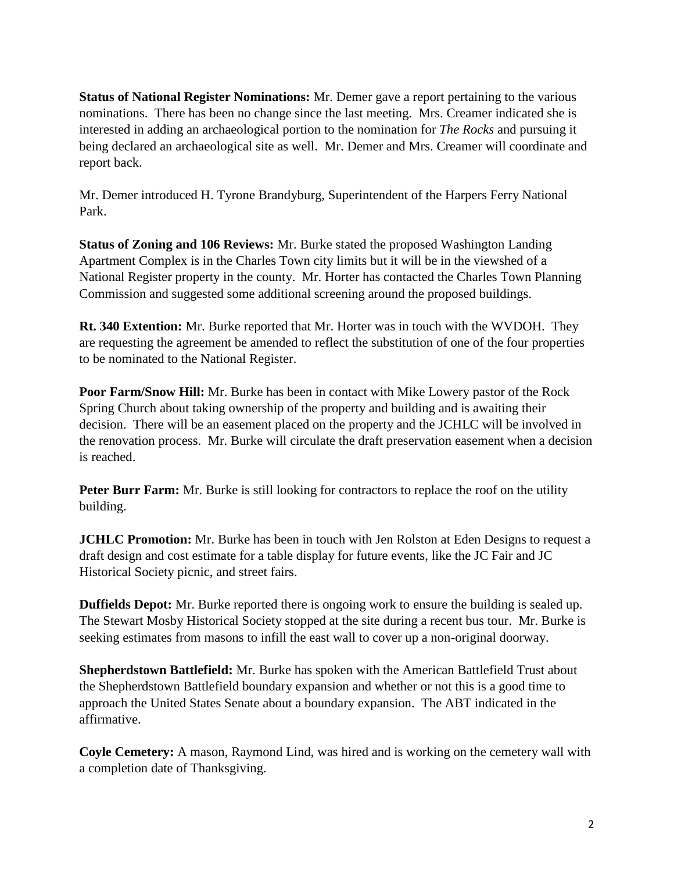**Status of National Register Nominations:** Mr. Demer gave a report pertaining to the various nominations. There has been no change since the last meeting. Mrs. Creamer indicated she is interested in adding an archaeological portion to the nomination for *The Rocks* and pursuing it being declared an archaeological site as well. Mr. Demer and Mrs. Creamer will coordinate and report back.

Mr. Demer introduced H. Tyrone Brandyburg, Superintendent of the Harpers Ferry National Park.

**Status of Zoning and 106 Reviews:** Mr. Burke stated the proposed Washington Landing Apartment Complex is in the Charles Town city limits but it will be in the viewshed of a National Register property in the county. Mr. Horter has contacted the Charles Town Planning Commission and suggested some additional screening around the proposed buildings.

**Rt. 340 Extention:** Mr. Burke reported that Mr. Horter was in touch with the WVDOH. They are requesting the agreement be amended to reflect the substitution of one of the four properties to be nominated to the National Register.

**Poor Farm/Snow Hill:** Mr. Burke has been in contact with Mike Lowery pastor of the Rock Spring Church about taking ownership of the property and building and is awaiting their decision. There will be an easement placed on the property and the JCHLC will be involved in the renovation process. Mr. Burke will circulate the draft preservation easement when a decision is reached.

**Peter Burr Farm:** Mr. Burke is still looking for contractors to replace the roof on the utility building.

**JCHLC Promotion:** Mr. Burke has been in touch with Jen Rolston at Eden Designs to request a draft design and cost estimate for a table display for future events, like the JC Fair and JC Historical Society picnic, and street fairs.

**Duffields Depot:** Mr. Burke reported there is ongoing work to ensure the building is sealed up. The Stewart Mosby Historical Society stopped at the site during a recent bus tour. Mr. Burke is seeking estimates from masons to infill the east wall to cover up a non-original doorway.

**Shepherdstown Battlefield:** Mr. Burke has spoken with the American Battlefield Trust about the Shepherdstown Battlefield boundary expansion and whether or not this is a good time to approach the United States Senate about a boundary expansion. The ABT indicated in the affirmative.

**Coyle Cemetery:** A mason, Raymond Lind, was hired and is working on the cemetery wall with a completion date of Thanksgiving.